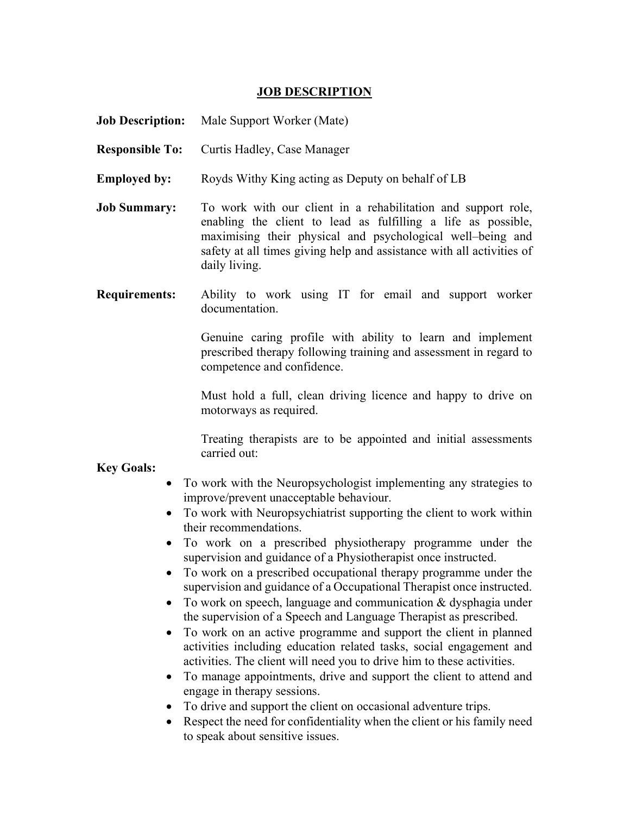## **JOB DESCRIPTION**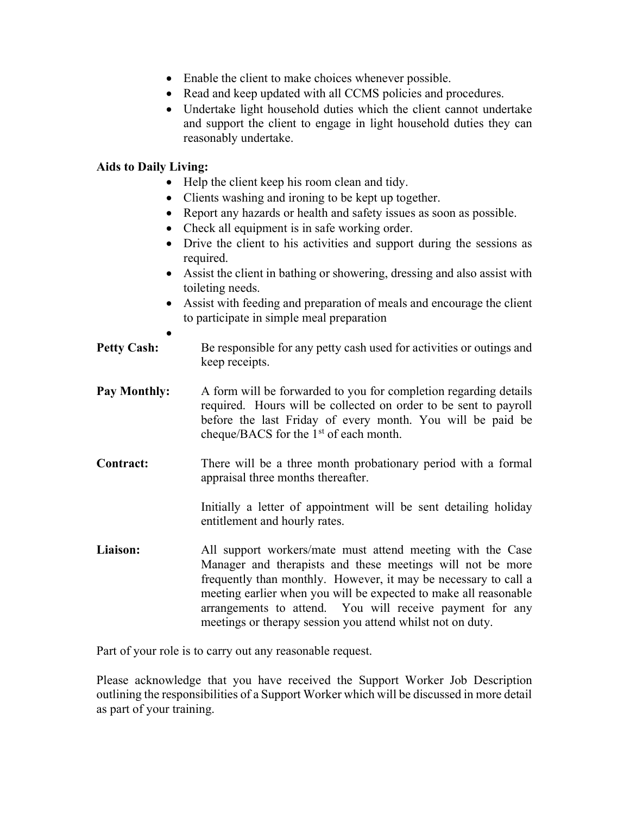- Enable the client to make choices whenever possible.
- Read and keep updated with all CCMS policies and procedures.
- Undertake light household duties which the client cannot undertake and support the client to engage in light household duties they can reasonably undertake.

## Aids to Daily Living:

- Help the client keep his room clean and tidy.
- Clients washing and ironing to be kept up together.
- Report any hazards or health and safety issues as soon as possible.
- Check all equipment is in safe working order.
- Drive the client to his activities and support during the sessions as required.
- Assist the client in bathing or showering, dressing and also assist with toileting needs.
- Assist with feeding and preparation of meals and encourage the client to participate in simple meal preparation
- $\bullet$ **Petty Cash:** Be responsible for any petty cash used for activities or outings and keep receipts.
- Pay Monthly: A form will be forwarded to you for completion regarding details required. Hours will be collected on order to be sent to payroll before the last Friday of every month. You will be paid be cheque/BACS for the  $1<sup>st</sup>$  of each month.
- Contract: There will be a three month probationary period with a formal appraisal three months thereafter.

Initially a letter of appointment will be sent detailing holiday entitlement and hourly rates.

Liaison: All support workers/mate must attend meeting with the Case Manager and therapists and these meetings will not be more frequently than monthly. However, it may be necessary to call a meeting earlier when you will be expected to make all reasonable arrangements to attend. You will receive payment for any meetings or therapy session you attend whilst not on duty.

Part of your role is to carry out any reasonable request.

Please acknowledge that you have received the Support Worker Job Description outlining the responsibilities of a Support Worker which will be discussed in more detail as part of your training.